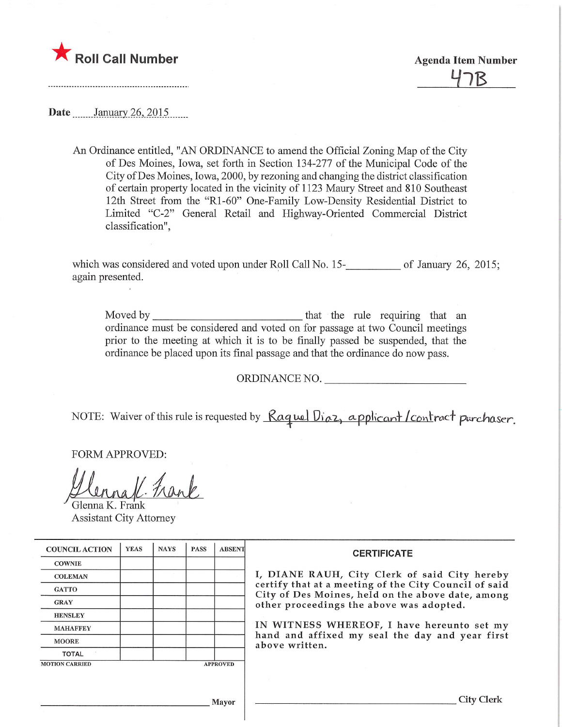

) ${\mathcal R}$ 

Date \_\_\_\_\_\_ January 26, 2015

An Ordinance entitled, "AN ORDLNANCE to amend the Official Zoning Map of the City of Des Moines, Iowa, set forth in Section 134-277 of the Municipal Code of the City ofDes Moines, Iowa, 2000, by rezoning and changing the district classification of certain property located in the vicinity of 1123 Maury Street and 810 Southeast 12th Street from the "Rl-60" One-Family Low-Density Residential District to Limited "C-2" General Retail and Highway-Oriented Commercial District classification",

which was considered and voted upon under Roll Call No. 15—1888, The University 26, 2015; again presented.

Moved by that the mle requiring that an ordinance must be considered and voted on for passage at two Council meetings prior to the meeting at which it is to be finally passed be suspended, that the ordinance be placed upon its final passage and that the ordinance do now pass.

ORDINANCE NO.

NOTE: Waiver of this rule is requested by Raquel Diaz, applicant /contract purchaser.

FORM APPROVED:

Glenna K. Frank Assistant City Attorney

| <b>COUNCIL ACTION</b> | <b>YEAS</b> | <b>NAYS</b> | <b>PASS</b> | <b>ABSENT</b>   | <b>CERTIFICATE</b>                                                                                                                                                                                                                                                                                                         |
|-----------------------|-------------|-------------|-------------|-----------------|----------------------------------------------------------------------------------------------------------------------------------------------------------------------------------------------------------------------------------------------------------------------------------------------------------------------------|
| <b>COWNIE</b>         |             |             |             |                 |                                                                                                                                                                                                                                                                                                                            |
| <b>COLEMAN</b>        |             |             |             |                 | I, DIANE RAUH, City Clerk of said City hereby<br>certify that at a meeting of the City Council of said<br>City of Des Moines, held on the above date, among<br>other proceedings the above was adopted.<br>IN WITNESS WHEREOF, I have hereunto set my<br>hand and affixed my seal the day and year first<br>above written. |
| <b>GATTO</b>          |             |             |             |                 |                                                                                                                                                                                                                                                                                                                            |
| <b>GRAY</b>           |             |             |             |                 |                                                                                                                                                                                                                                                                                                                            |
| <b>HENSLEY</b>        |             |             |             |                 |                                                                                                                                                                                                                                                                                                                            |
| <b>MAHAFFEY</b>       |             |             |             |                 |                                                                                                                                                                                                                                                                                                                            |
| <b>MOORE</b>          |             |             |             |                 |                                                                                                                                                                                                                                                                                                                            |
| <b>TOTAL</b>          |             |             |             |                 |                                                                                                                                                                                                                                                                                                                            |
| <b>MOTION CARRIED</b> |             |             |             | <b>APPROVED</b> |                                                                                                                                                                                                                                                                                                                            |
|                       |             |             |             |                 |                                                                                                                                                                                                                                                                                                                            |
|                       |             |             |             |                 |                                                                                                                                                                                                                                                                                                                            |
| Mayor                 |             |             |             |                 | City Clerk                                                                                                                                                                                                                                                                                                                 |